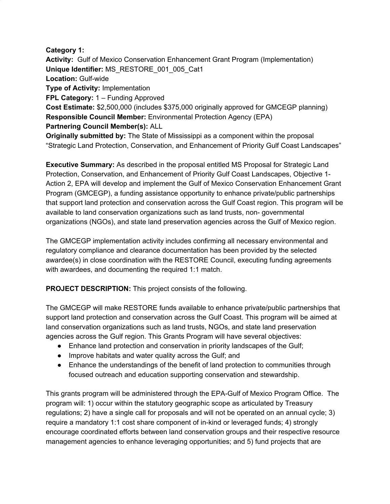## **Category 1:**

**Activity:** Gulf of Mexico Conservation Enhancement Grant Program (Implementation) **Unique Identifier:** MS\_RESTORE\_001\_005\_Cat1 **Location:** Gulf-wide **Type of Activity:** Implementation **FPL Category:** 1 – Funding Approved **Cost Estimate:** \$2,500,000 (includes \$375,000 originally approved for GMCEGP planning) **Responsible Council Member:** Environmental Protection Agency (EPA) **Partnering Council Member(s):** ALL **Originally submitted by:** The State of Mississippi as a component within the proposal

"Strategic Land Protection, Conservation, and Enhancement of Priority Gulf Coast Landscapes"

**Executive Summary:** As described in the proposal entitled MS Proposal for Strategic Land Protection, Conservation, and Enhancement of Priority Gulf Coast Landscapes, Objective 1- Action 2, EPA will develop and implement the Gulf of Mexico Conservation Enhancement Grant Program (GMCEGP), a funding assistance opportunity to enhance private/public partnerships that support land protection and conservation across the Gulf Coast region. This program will be available to land conservation organizations such as land trusts, non- governmental organizations (NGOs), and state land preservation agencies across the Gulf of Mexico region.

The GMCEGP implementation activity includes confirming all necessary environmental and regulatory compliance and clearance documentation has been provided by the selected awardee(s) in close coordination with the RESTORE Council, executing funding agreements with awardees, and documenting the required 1:1 match.

**PROJECT DESCRIPTION:** This project consists of the following.

The GMCEGP will make RESTORE funds available to enhance private/public partnerships that support land protection and conservation across the Gulf Coast. This program will be aimed at land conservation organizations such as land trusts, NGOs, and state land preservation agencies across the Gulf region. This Grants Program will have several objectives:

- Enhance land protection and conservation in priority landscapes of the Gulf;
- Improve habitats and water quality across the Gulf; and
- Enhance the understandings of the benefit of land protection to communities through focused outreach and education supporting conservation and stewardship.

This grants program will be administered through the EPA-Gulf of Mexico Program Office. The program will: 1) occur within the statutory geographic scope as articulated by Treasury regulations; 2) have a single call for proposals and will not be operated on an annual cycle; 3) require a mandatory 1:1 cost share component of in-kind or leveraged funds; 4) strongly encourage coordinated efforts between land conservation groups and their respective resource management agencies to enhance leveraging opportunities; and 5) fund projects that are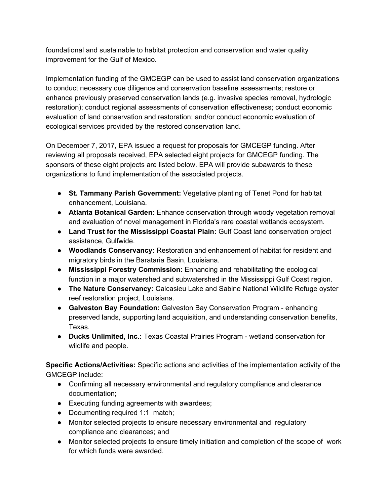foundational and sustainable to habitat protection and conservation and water quality improvement for the Gulf of Mexico.

Implementation funding of the GMCEGP can be used to assist land conservation organizations to conduct necessary due diligence and conservation baseline assessments; restore or enhance previously preserved conservation lands (e.g. invasive species removal, hydrologic restoration); conduct regional assessments of conservation effectiveness; conduct economic evaluation of land conservation and restoration; and/or conduct economic evaluation of ecological services provided by the restored conservation land.

On December 7, 2017, EPA issued a request for proposals for GMCEGP funding. After reviewing all proposals received, EPA selected eight projects for GMCEGP funding. The sponsors of these eight projects are listed below. EPA will provide subawards to these organizations to fund implementation of the associated projects.

- **St. Tammany Parish Government:** Vegetative planting of Tenet Pond for habitat enhancement, Louisiana.
- **Atlanta Botanical Garden:** Enhance conservation through woody vegetation removal and evaluation of novel management in Florida's rare coastal wetlands ecosystem.
- **Land Trust for the Mississippi Coastal Plain:** Gulf Coast land conservation project assistance, Gulfwide.
- **Woodlands Conservancy:** Restoration and enhancement of habitat for resident and migratory birds in the Barataria Basin, Louisiana.
- **Mississippi Forestry Commission:** Enhancing and rehabilitating the ecological function in a major watershed and subwatershed in the Mississippi Gulf Coast region.
- **The Nature Conservancy:** Calcasieu Lake and Sabine National Wildlife Refuge oyster reef restoration project, Louisiana.
- **Galveston Bay Foundation:** Galveston Bay Conservation Program enhancing preserved lands, supporting land acquisition, and understanding conservation benefits, Texas.
- **Ducks Unlimited, Inc.:** Texas Coastal Prairies Program wetland conservation for wildlife and people.

**Specific Actions/Activities:** Specific actions and activities of the implementation activity of the GMCEGP include:

- Confirming all necessary environmental and regulatory compliance and clearance documentation;
- Executing funding agreements with awardees;
- Documenting required 1:1 match;
- Monitor selected projects to ensure necessary environmental and regulatory compliance and clearances; and
- Monitor selected projects to ensure timely initiation and completion of the scope of work for which funds were awarded.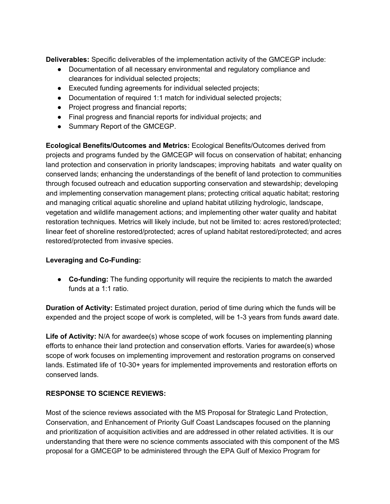**Deliverables:** Specific deliverables of the implementation activity of the GMCEGP include:

- Documentation of all necessary environmental and regulatory compliance and clearances for individual selected projects;
- Executed funding agreements for individual selected projects;
- Documentation of required 1:1 match for individual selected projects;
- Project progress and financial reports;
- Final progress and financial reports for individual projects; and
- Summary Report of the GMCEGP.

**Ecological Benefits/Outcomes and Metrics:** Ecological Benefits/Outcomes derived from projects and programs funded by the GMCEGP will focus on conservation of habitat; enhancing land protection and conservation in priority landscapes; improving habitats and water quality on conserved lands; enhancing the understandings of the benefit of land protection to communities through focused outreach and education supporting conservation and stewardship; developing and implementing conservation management plans; protecting critical aquatic habitat; restoring and managing critical aquatic shoreline and upland habitat utilizing hydrologic, landscape, vegetation and wildlife management actions; and implementing other water quality and habitat restoration techniques. Metrics will likely include, but not be limited to: acres restored/protected; linear feet of shoreline restored/protected; acres of upland habitat restored/protected; and acres restored/protected from invasive species.

## **Leveraging and Co-Funding:**

● **Co-funding:** The funding opportunity will require the recipients to match the awarded funds at a 1:1 ratio.

**Duration of Activity:** Estimated project duration, period of time during which the funds will be expended and the project scope of work is completed, will be 1-3 years from funds award date.

**Life of Activity:** N/A for awardee(s) whose scope of work focuses on implementing planning efforts to enhance their land protection and conservation efforts. Varies for awardee(s) whose scope of work focuses on implementing improvement and restoration programs on conserved lands. Estimated life of 10-30+ years for implemented improvements and restoration efforts on conserved lands.

## **RESPONSE TO SCIENCE REVIEWS:**

Most of the science reviews associated with the MS Proposal for Strategic Land Protection, Conservation, and Enhancement of Priority Gulf Coast Landscapes focused on the planning and prioritization of acquisition activities and are addressed in other related activities. It is our understanding that there were no science comments associated with this component of the MS proposal for a GMCEGP to be administered through the EPA Gulf of Mexico Program for